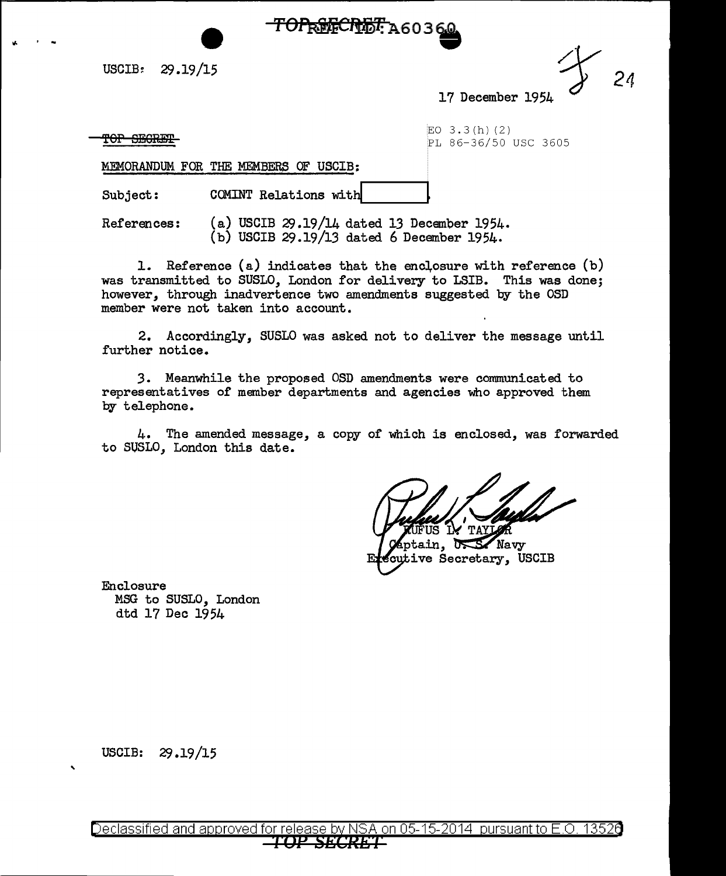

USCIB:  $29.19/15$ 

17 December 1954

TOP SEGRET

<Jo • -

EO  $3.3(h)$  (2) PL 86-36/50 USC 3605

MEMORANDUM FOR THE MEMBERS OF USCIB:

Subject: COMINT Relations with

References:  $(a)$  USCIB 29.19/14 dated 13 December 1954. (b) USCIB 29.19/13 dated 6 December 1954.

1. Reference (a) indicates that the enclosure with reference  $(b)$ was transmitted to SUSLO, London for delivery to LSIB. This was done; however, through inadvertence two amendments suggested by the OSD member were not taken into account.

2. Accordingly, SUSLO was asked not to deliver the message until further notice.

3. Meanwhile the proposed OSD amendments were communicated to representatives of member departments and agencies who approved them by telephone.

4. The amended message, a copy of which is enclosed, was forwarded to SUSLO, London this date.

ጥል"

ptain, Navy cutive Secretary, USCIB

Enclosure MSG to SUSLO, London dtd 17 Dec 1954

USCIB: 29.19/15